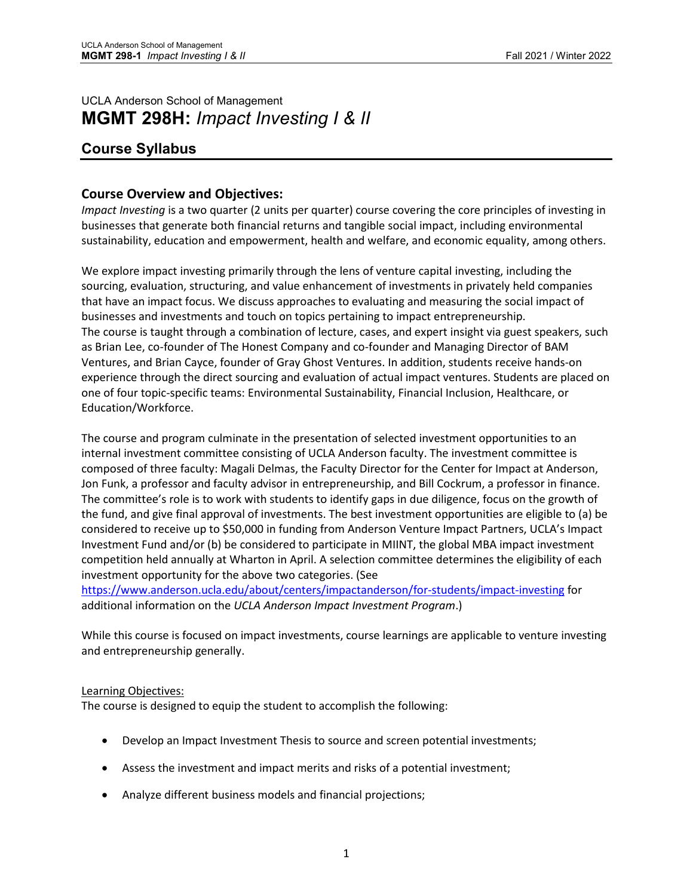# UCLA Anderson School of Management **MGMT 298H:** *Impact Investing I & II*

# **Course Syllabus**

## **Course Overview and Objectives:**

*Impact Investing* is a two quarter (2 units per quarter) course covering the core principles of investing in businesses that generate both financial returns and tangible social impact, including environmental sustainability, education and empowerment, health and welfare, and economic equality, among others.

We explore impact investing primarily through the lens of venture capital investing, including the sourcing, evaluation, structuring, and value enhancement of investments in privately held companies that have an impact focus. We discuss approaches to evaluating and measuring the social impact of businesses and investments and touch on topics pertaining to impact entrepreneurship. The course is taught through a combination of lecture, cases, and expert insight via guest speakers, such as Brian Lee, co-founder of The Honest Company and co-founder and Managing Director of BAM Ventures, and Brian Cayce, founder of Gray Ghost Ventures. In addition, students receive hands-on experience through the direct sourcing and evaluation of actual impact ventures. Students are placed on one of four topic-specific teams: Environmental Sustainability, Financial Inclusion, Healthcare, or Education/Workforce.

The course and program culminate in the presentation of selected investment opportunities to an internal investment committee consisting of UCLA Anderson faculty. The investment committee is composed of three faculty: Magali Delmas, the Faculty Director for the Center for Impact at Anderson, Jon Funk, a professor and faculty advisor in entrepreneurship, and Bill Cockrum, a professor in finance. The committee's role is to work with students to identify gaps in due diligence, focus on the growth of the fund, and give final approval of investments. The best investment opportunities are eligible to (a) be considered to receive up to \$50,000 in funding from Anderson Venture Impact Partners, UCLA's Impact Investment Fund and/or (b) be considered to participate in MIINT, the global MBA impact investment competition held annually at Wharton in April. A selection committee determines the eligibility of each investment opportunity for the above two categories. (See

<https://www.anderson.ucla.edu/about/centers/impactanderson/for-students/impact-investing> for additional information on the *UCLA Anderson Impact Investment Program*.)

While this course is focused on impact investments, course learnings are applicable to venture investing and entrepreneurship generally.

## Learning Objectives:

The course is designed to equip the student to accomplish the following:

- Develop an Impact Investment Thesis to source and screen potential investments;
- Assess the investment and impact merits and risks of a potential investment;
- Analyze different business models and financial projections;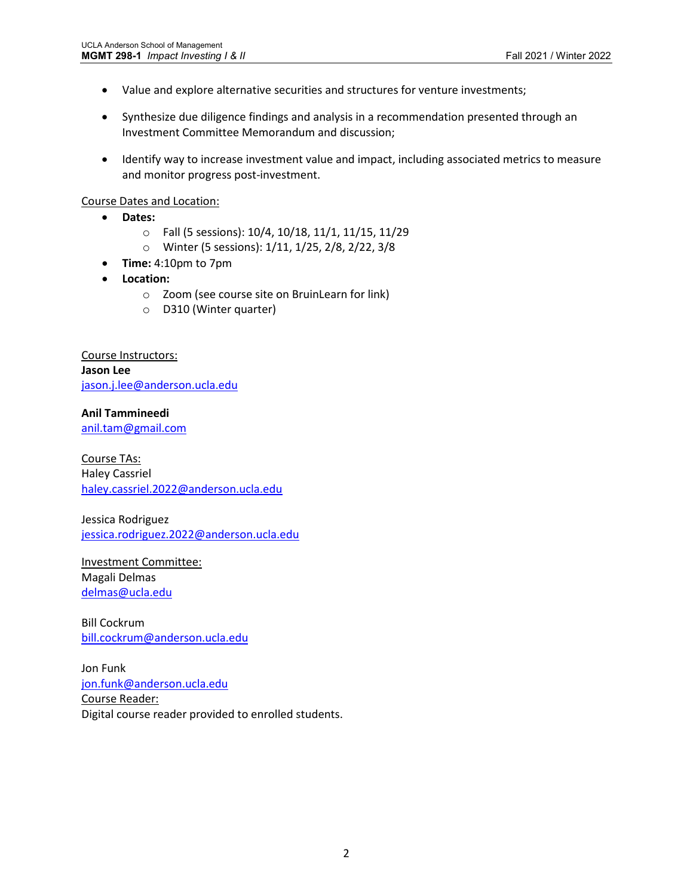- Value and explore alternative securities and structures for venture investments;
- Synthesize due diligence findings and analysis in a recommendation presented through an Investment Committee Memorandum and discussion;
- Identify way to increase investment value and impact, including associated metrics to measure and monitor progress post-investment.

Course Dates and Location:

- **Dates:** 
	- o Fall (5 sessions): 10/4, 10/18, 11/1, 11/15, 11/29
	- o Winter (5 sessions): 1/11, 1/25, 2/8, 2/22, 3/8
- **Time:** 4:10pm to 7pm
- **Location:**
	- o Zoom (see course site on BruinLearn for link)
	- o D310 (Winter quarter)

Course Instructors: **Jason Lee** [jason.j.lee@anderson.ucla.edu](mailto:jason.j.lee@anderson.ucla.edu)

**Anil Tammineedi** [anil.tam@gmail.com](mailto:anil.tam@gmail.com)

Course TAs: Haley Cassriel [haley.cassriel.2022@anderson.ucla.edu](mailto:haley.cassriel.2022@anderson.ucla.edu)

Jessica Rodriguez [jessica.rodriguez.2022@anderson.ucla.edu](mailto:jessica.rodriguez.2022@anderson.ucla.edu)

Investment Committee: Magali Delmas [delmas@ucla.edu](mailto:delmas@ucla.edu)

Bill Cockrum [bill.cockrum@anderson.ucla.edu](mailto:bill.cockrum@anderson.ucla.edu)

Jon Funk [jon.funk@anderson.ucla.edu](mailto:jon.funk@anderson.ucla.edu) Course Reader: Digital course reader provided to enrolled students.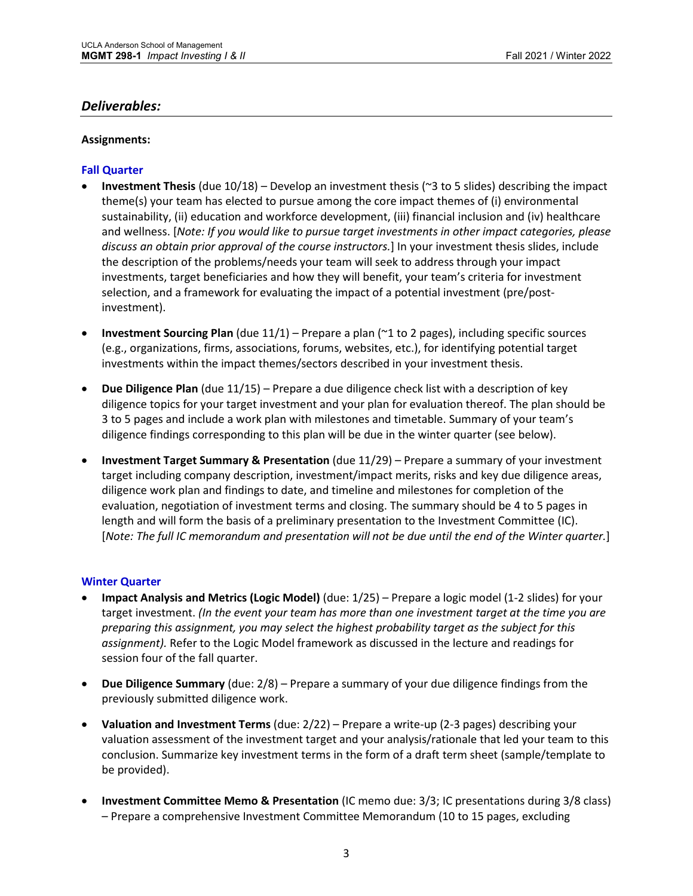## *Deliverables:*

### **Assignments:**

### **Fall Quarter**

- **Investment Thesis** (due 10/18) Develop an investment thesis (~3 to 5 slides) describing the impact theme(s) your team has elected to pursue among the core impact themes of (i) environmental sustainability, (ii) education and workforce development, (iii) financial inclusion and (iv) healthcare and wellness. [*Note: If you would like to pursue target investments in other impact categories, please discuss an obtain prior approval of the course instructors.*] In your investment thesis slides, include the description of the problems/needs your team will seek to address through your impact investments, target beneficiaries and how they will benefit, your team's criteria for investment selection, and a framework for evaluating the impact of a potential investment (pre/postinvestment).
- **Investment Sourcing Plan** (due 11/1) Prepare a plan (~1 to 2 pages), including specific sources (e.g., organizations, firms, associations, forums, websites, etc.), for identifying potential target investments within the impact themes/sectors described in your investment thesis.
- **Due Diligence Plan** (due 11/15) Prepare a due diligence check list with a description of key diligence topics for your target investment and your plan for evaluation thereof. The plan should be 3 to 5 pages and include a work plan with milestones and timetable. Summary of your team's diligence findings corresponding to this plan will be due in the winter quarter (see below).
- **Investment Target Summary & Presentation** (due 11/29) Prepare a summary of your investment target including company description, investment/impact merits, risks and key due diligence areas, diligence work plan and findings to date, and timeline and milestones for completion of the evaluation, negotiation of investment terms and closing. The summary should be 4 to 5 pages in length and will form the basis of a preliminary presentation to the Investment Committee (IC). [*Note: The full IC memorandum and presentation will not be due until the end of the Winter quarter.*]

#### **Winter Quarter**

- **Impact Analysis and Metrics (Logic Model)** (due: 1/25) Prepare a logic model (1-2 slides) for your target investment. *(In the event your team has more than one investment target at the time you are preparing this assignment, you may select the highest probability target as the subject for this assignment).* Refer to the Logic Model framework as discussed in the lecture and readings for session four of the fall quarter.
- **Due Diligence Summary** (due: 2/8) Prepare a summary of your due diligence findings from the previously submitted diligence work.
- **Valuation and Investment Terms** (due: 2/22) Prepare a write-up (2-3 pages) describing your valuation assessment of the investment target and your analysis/rationale that led your team to this conclusion. Summarize key investment terms in the form of a draft term sheet (sample/template to be provided).
- **Investment Committee Memo & Presentation** (IC memo due: 3/3; IC presentations during 3/8 class) – Prepare a comprehensive Investment Committee Memorandum (10 to 15 pages, excluding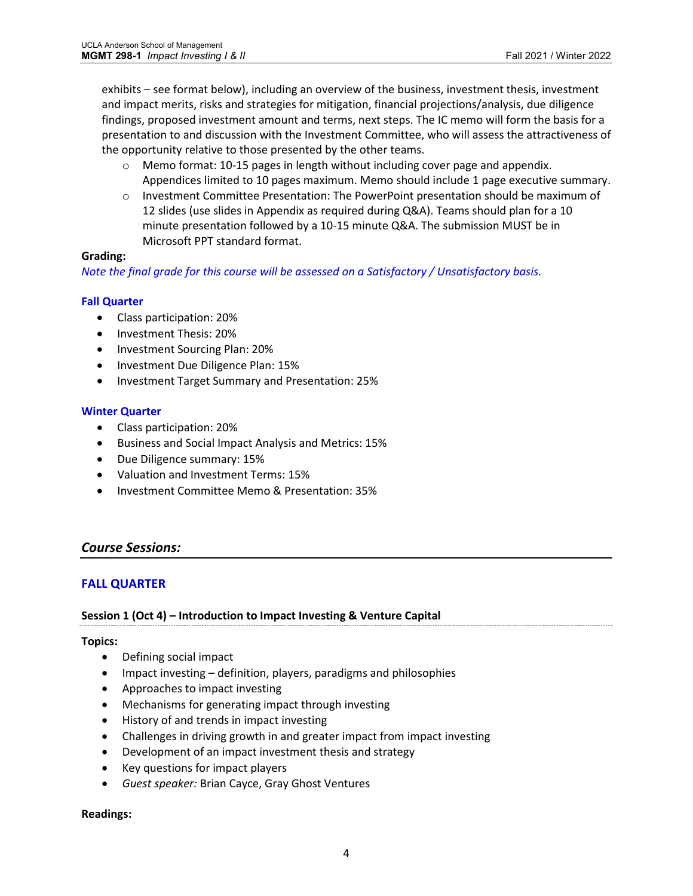exhibits – see format below), including an overview of the business, investment thesis, investment and impact merits, risks and strategies for mitigation, financial projections/analysis, due diligence findings, proposed investment amount and terms, next steps. The IC memo will form the basis for a presentation to and discussion with the Investment Committee, who will assess the attractiveness of the opportunity relative to those presented by the other teams.

- o Memo format: 10-15 pages in length without including cover page and appendix. Appendices limited to 10 pages maximum. Memo should include 1 page executive summary.
- o Investment Committee Presentation: The PowerPoint presentation should be maximum of 12 slides (use slides in Appendix as required during Q&A). Teams should plan for a 10 minute presentation followed by a 10-15 minute Q&A. The submission MUST be in Microsoft PPT standard format.

## **Grading:**

*Note the final grade for this course will be assessed on a Satisfactory / Unsatisfactory basis.*

## **Fall Quarter**

- Class participation: 20%
- Investment Thesis: 20%
- Investment Sourcing Plan: 20%
- Investment Due Diligence Plan: 15%
- Investment Target Summary and Presentation: 25%

## **Winter Quarter**

- Class participation: 20%
- Business and Social Impact Analysis and Metrics: 15%
- Due Diligence summary: 15%
- Valuation and Investment Terms: 15%
- Investment Committee Memo & Presentation: 35%

## *Course Sessions:*

## **FALL QUARTER**

## **Session 1 (Oct 4) – Introduction to Impact Investing & Venture Capital**

## **Topics:**

- Defining social impact
- Impact investing definition, players, paradigms and philosophies
- Approaches to impact investing
- Mechanisms for generating impact through investing
- History of and trends in impact investing
- Challenges in driving growth in and greater impact from impact investing
- Development of an impact investment thesis and strategy
- Key questions for impact players
- *Guest speaker:* Brian Cayce, Gray Ghost Ventures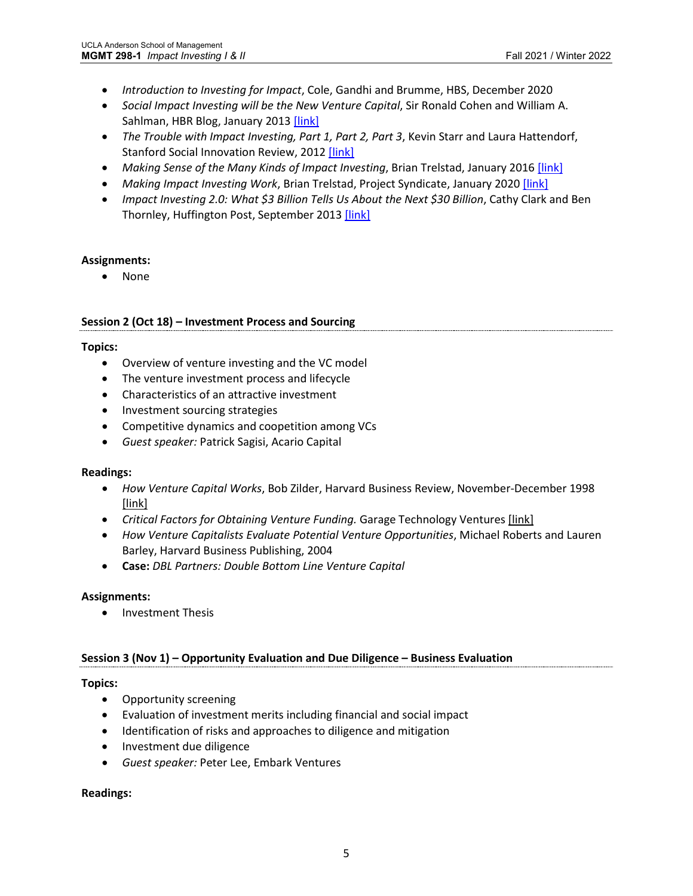- *Introduction to Investing for Impact*, Cole, Gandhi and Brumme, HBS, December 2020
- *Social Impact Investing will be the New Venture Capital*, Sir Ronald Cohen and William A. Sahlman, HBR Blog, January 2013 [\[link\]](https://hbr.org/2013/01/social-impact-investing-will-b)
- *The Trouble with Impact Investing, Part 1, Part 2, Part 3*, Kevin Starr and Laura Hattendorf, Stanford Social Innovation Review, 2012 [\[link\]](https://ssir.org/articles/entry/the_trouble_with_impact_investing_part_1)
- Making Sense of the Many Kinds of Impact Investing, Brian Trelstad, January 2016 [\[link\]](https://hbr.org/2016/01/making-sense-of-the-many-kinds-of-impact-investing)
- *Making Impact Investing Work*, Brian Trelstad, Project Syndicate, January 2020 [\[link\]](https://www.project-syndicate.org/commentary/making-impact-investing-work-by-brian-trelstad-2020-01)
- *Impact Investing 2.0: What \$3 Billion Tells Us About the Next \$30 Billion*, Cathy Clark and Ben Thornley, Huffington Post, September 2013 [\[link\]](https://centers.fuqua.duke.edu/case/2013/09/04/impact-investing-2-0-what-3-billion-tells-us-about-the-next-300-billion/)

• None

### **Session 2 (Oct 18) – Investment Process and Sourcing**

### **Topics:**

- Overview of venture investing and the VC model
- The venture investment process and lifecycle
- Characteristics of an attractive investment
- Investment sourcing strategies
- Competitive dynamics and coopetition among VCs
- *Guest speaker:* Patrick Sagisi, Acario Capital

## **Readings:**

- *How Venture Capital Works*, Bob Zilder, Harvard Business Review, November-December 1998 [\[link\]](https://www.garage.com/resources/critical-factors-for-obtaining-venture-funding/)
- *Critical Factors for Obtaining Venture Funding.* Garage Technology Ventures [\[link\]](https://www.garage.com/resources/critical-factors-for-obtaining-venture-funding/)
- *How Venture Capitalists Evaluate Potential Venture Opportunities*, Michael Roberts and Lauren Barley, Harvard Business Publishing, 2004
- **Case:** *DBL Partners: Double Bottom Line Venture Capital*

#### **Assignments:**

• Investment Thesis

## **Session 3 (Nov 1) – Opportunity Evaluation and Due Diligence – Business Evaluation**

## **Topics:**

- Opportunity screening
- Evaluation of investment merits including financial and social impact
- Identification of risks and approaches to diligence and mitigation
- Investment due diligence
- *Guest speaker:* Peter Lee, Embark Ventures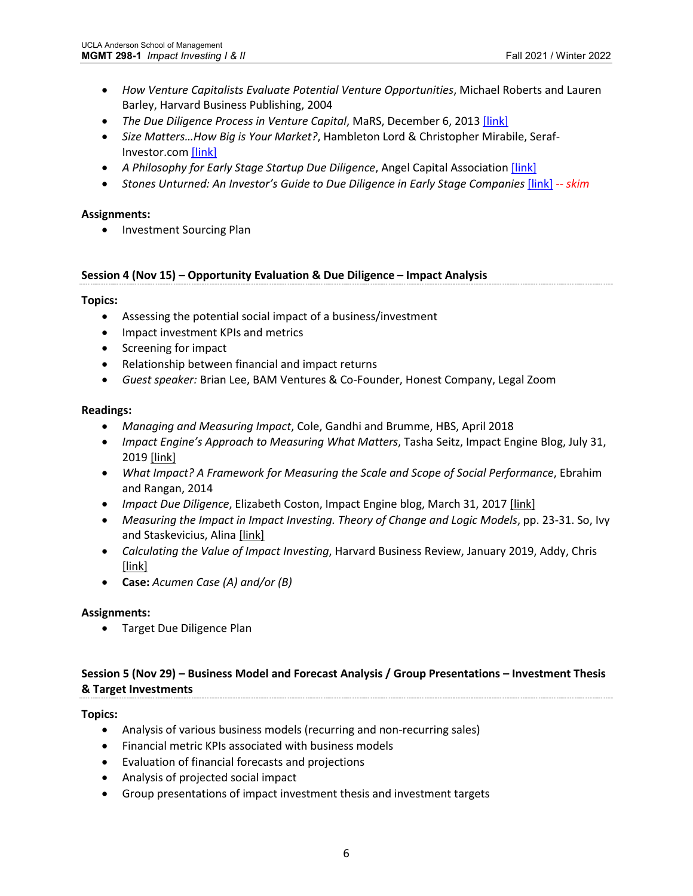- *How Venture Capitalists Evaluate Potential Venture Opportunities*, Michael Roberts and Lauren Barley, Harvard Business Publishing, 2004
- *The Due Diligence Process in Venture Capital*, MaRS, December 6, 2013 [\[link\]](https://learn.marsdd.com/article/the-due-diligence-process-in-venture-capital/)
- *Size Matters…How Big is Your Market?*, Hambleton Lord & Christopher Mirabile, Seraf-Investor.com [\[link\]](https://seraf-investor.com/compass/article/size-matters-how-big-your-market)
- *A Philosophy for Early Stage Startup Due Diligence*, Angel Capital Associatio[n \[link\]](https://www.alleywatch.com/2015/08/a-philosophy-for-early-stage-startup-due-diligence/)
- Stones Unturned: An Investor's Guide to Due Diligence in Early Stage Companies [\[link\]](https://land.seraf-investor.com/due-diligence/) -- skim

• Investment Sourcing Plan

### **Session 4 (Nov 15) – Opportunity Evaluation & Due Diligence – Impact Analysis**

### **Topics:**

- Assessing the potential social impact of a business/investment
- Impact investment KPIs and metrics
- Screening for impact
- Relationship between financial and impact returns
- *Guest speaker:* Brian Lee, BAM Ventures & Co-Founder, Honest Company, Legal Zoom

### **Readings:**

- *Managing and Measuring Impact*, Cole, Gandhi and Brumme, HBS, April 2018
- *Impact Engine's Approach to Measuring What Matters*, Tasha Seitz, Impact Engine Blog, July 31, 2019 [\[link\]](https://medium.com/@theimpactengine/impact-engines-approach-to-measuring-what-matters-13e9f4946331)
- *What Impact? A Framework for Measuring the Scale and Scope of Social Performance*, Ebrahim and Rangan, 2014
- *Impact Due Diligence*, Elizabeth Coston, Impact Engine blog, March 31, 2017 [\[link\]](https://medium.com/impact-engine/impact-due-diligence-the-questions-we-ask-4faf82c14e43)
- Measuring the Impact in Impact Investing. Theory of Change and Logic Models, pp. 23-31. So, Ivy and Staskevicius, Alina [\[link\]](https://www.hbs.edu/socialenterprise/Documents/MeasuringImpact.pdf)
- *Calculating the Value of Impact Investing*, Harvard Business Review, January 2019, Addy, Chris [\[link\]](https://hbr.org/2019/01/calculating-the-value-of-impact-investing)
- **Case:** *Acumen Case (A) and/or (B)*

## **Assignments:**

• Target Due Diligence Plan

## **Session 5 (Nov 29) – Business Model and Forecast Analysis / Group Presentations – Investment Thesis & Target Investments**

## **Topics:**

- Analysis of various business models (recurring and non-recurring sales)
- Financial metric KPIs associated with business models
- Evaluation of financial forecasts and projections
- Analysis of projected social impact
- Group presentations of impact investment thesis and investment targets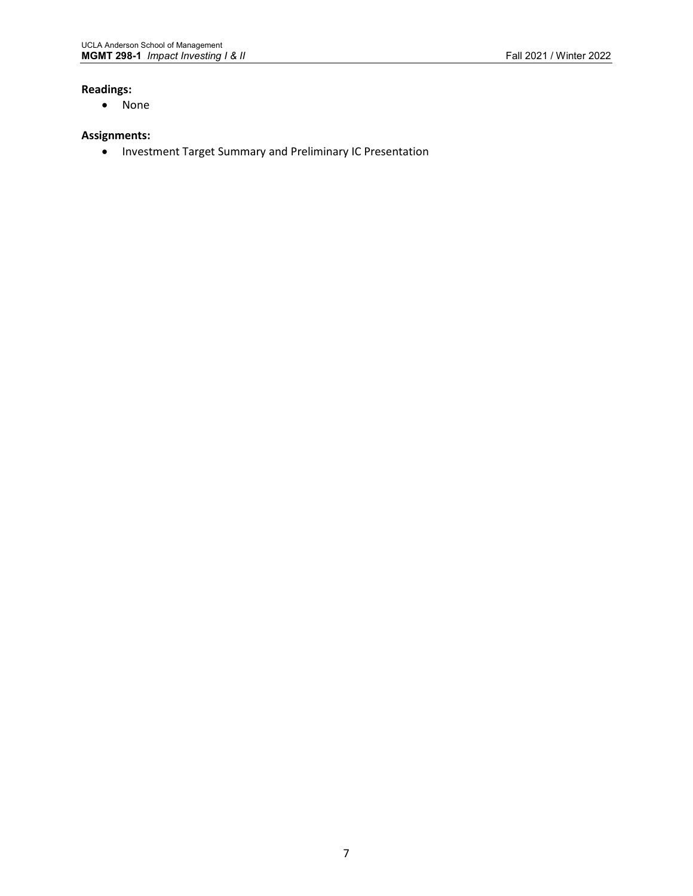## **Readings:**

• None

### **Assignments:**

• Investment Target Summary and Preliminary IC Presentation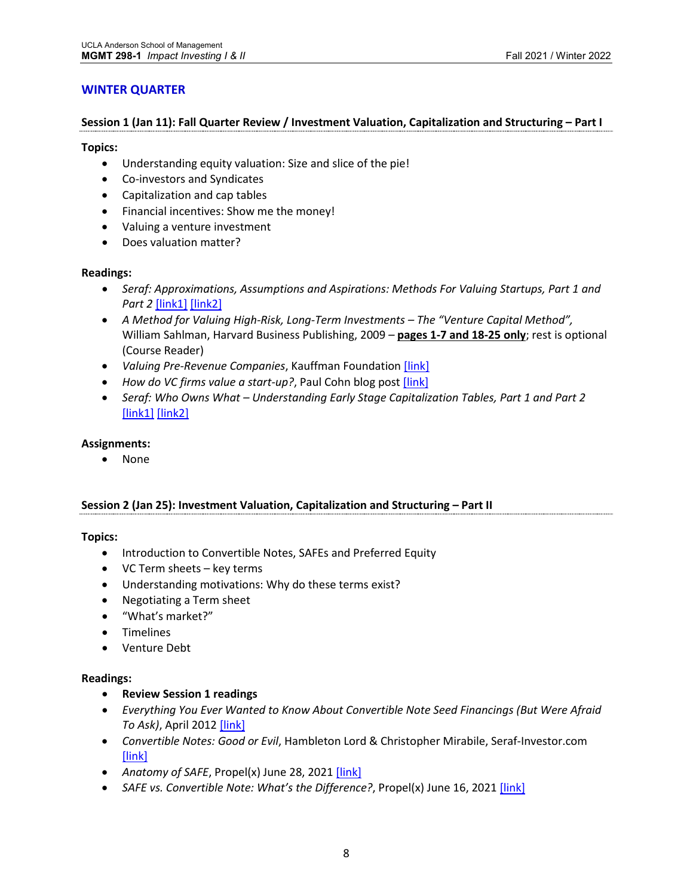## **WINTER QUARTER**

#### **Session 1 (Jan 11): Fall Quarter Review / Investment Valuation, Capitalization and Structuring – Part I**

#### **Topics:**

- Understanding equity valuation: Size and slice of the pie!
- Co-investors and Syndicates
- Capitalization and cap tables
- Financial incentives: Show me the money!
- Valuing a venture investment
- Does valuation matter?

#### **Readings:**

- *Seraf: Approximations, Assumptions and Aspirations: Methods For Valuing Startups, Part 1 and Part 2* [\[link1\]](https://seraf-investor.com/compass/article/approximations-assumptions-and-aspirations-methods-valuing-startups-part-i) [\[link2\]](https://seraf-investor.com/compass/article/approximations-assumptions-and-aspirations-methods-valuing-startups-part-ii)
- *A Method for Valuing High-Risk, Long-Term Investments – The "Venture Capital Method",*  William Sahlman, Harvard Business Publishing, 2009 *–* **pages 1-7 and 18-25 only**; rest is optional (Course Reader)
- *Valuing Pre-Revenue Companies*, Kauffman Foundation [\[link\]](https://www.angelcapitalassociation.org/data/Documents/Resources/AngelCapitalEducation/ACEF_-_Valuing_Pre-revenue_Companies.pdf)
- How do VC firms value a start-up?, Paul Cohn blog post [\[link\]](https://www.quora.com/How-do-VC-firms-value-a-start-up)
- *Seraf: Who Owns What – Understanding Early Stage Capitalization Tables, Part 1 and Part 2* [\[link1\]](https://seraf-investor.com/compass/article/who-owns-what-understanding-early-stage-capitalization-tables-part-i) [\[link2\]](https://seraf-investor.com/compass/article/who-owns-what-understanding-early-stage-capitalization-tables-part-ii)

#### **Assignments:**

• None

#### **Session 2 (Jan 25): Investment Valuation, Capitalization and Structuring – Part II**

#### **Topics:**

- Introduction to Convertible Notes, SAFEs and Preferred Equity
- VC Term sheets key terms
- Understanding motivations: Why do these terms exist?
- Negotiating a Term sheet
- "What's market?"
- Timelines
- Venture Debt

- **Review Session 1 readings**
- *Everything You Ever Wanted to Know About Convertible Note Seed Financings (But Were Afraid To Ask)*, April 2012 [\[link\]](https://techcrunch.com/2012/04/07/convertible-note-seed-financings/)
- *Convertible Notes: Good or Evil*, Hambleton Lord & Christopher Mirabile, Seraf-Investor.com [\[link\]](https://seraf-investor.com/compass/article/convertible-notes-good-or-evil)
- *Anatomy of SAFE*, Propel(x) June 28, 2021 [\[link\]](https://www.propelx.com/blog/safe/)
- *SAFE vs. Convertible Note: What's the Difference?*, Propel(x) June 16, 202[1 \[link\]](https://www.propelx.com/blog/safe-vs-convertible-note/)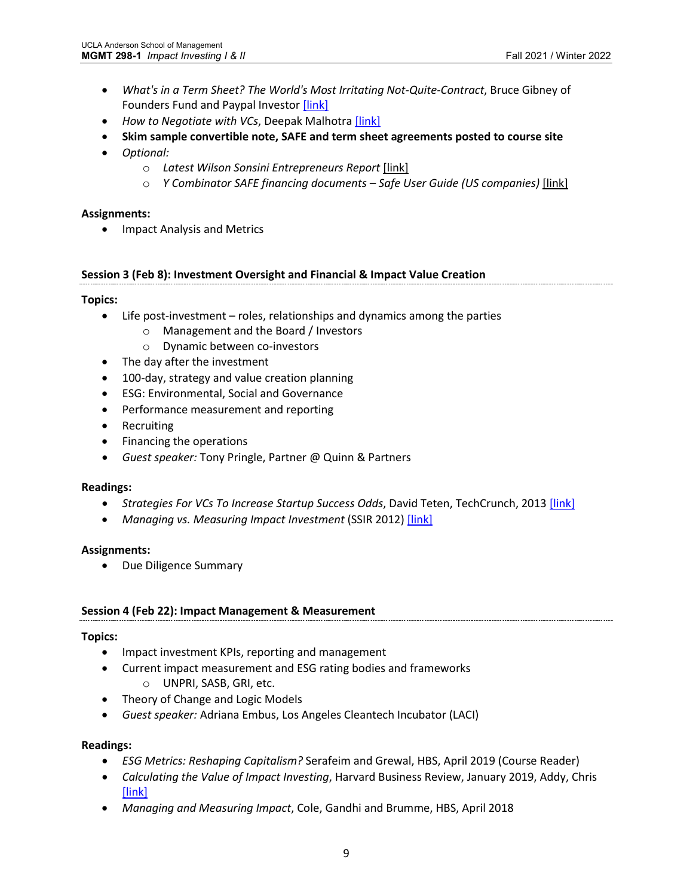- *What's in a Term Sheet? The World's Most Irritating Not-Quite-Contract*, Bruce Gibney of Founders Fund and Paypal Investor [\[link\]](https://www.nancyonnorwalk.com/wp-content/uploads/2013/12/term_sheet_explained.pdf)
- *How to Negotiate with VCs*, Deepak Malhotra [\[link\]](https://hbr.org/2013/05/how-to-negotiate-with-vcs)
- **Skim sample convertible note, SAFE and term sheet agreements posted to course site**
- *Optional:* 
	- o *Latest Wilson Sonsini Entrepreneurs Report* [\[link\]](https://www.wsgr.com/a/web/tvWf2PxYgnK7vhrdrirkbA/entrepreneursreport-q1-2021.pdf)
	- o *Y Combinator SAFE financing documents – Safe User Guide (US companies)* [\[link\]](https://www.ycombinator.com/documents/)

• Impact Analysis and Metrics

### **Session 3 (Feb 8): Investment Oversight and Financial & Impact Value Creation**

### **Topics:**

- Life post-investment roles, relationships and dynamics among the parties
	- o Management and the Board / Investors
	- o Dynamic between co-investors
- The day after the investment
- 100-day, strategy and value creation planning
- ESG: Environmental, Social and Governance
- Performance measurement and reporting
- Recruiting
- Financing the operations
- *Guest speaker:* Tony Pringle, Partner @ Quinn & Partners

#### **Readings:**

- *Strategies For VCs To Increase Startup Success Odds*, David Teten, TechCrunch, 2013 [\[link\]](https://techcrunch.com/2013/03/30/the-lower-risk-startup-how-venture-capitalists-increase-the-odds-of-startup-success/)
- *Managing vs. Measuring Impact Investment* (SSIR 2012) [\[link\]](https://ssir.org/articles/entry/managing_vs_measuring_impact_investment)

#### **Assignments:**

• Due Diligence Summary

#### **Session 4 (Feb 22): Impact Management & Measurement**

#### **Topics:**

- Impact investment KPIs, reporting and management
- Current impact measurement and ESG rating bodies and frameworks
	- o UNPRI, SASB, GRI, etc.
- Theory of Change and Logic Models
- *Guest speaker:* Adriana Embus, Los Angeles Cleantech Incubator (LACI)

- *ESG Metrics: Reshaping Capitalism?* Serafeim and Grewal, HBS, April 2019 (Course Reader)
- *Calculating the Value of Impact Investing*, Harvard Business Review, January 2019, Addy, Chris [\[link\]](https://hbr.org/2019/01/calculating-the-value-of-impact-investing)
- *Managing and Measuring Impact*, Cole, Gandhi and Brumme, HBS, April 2018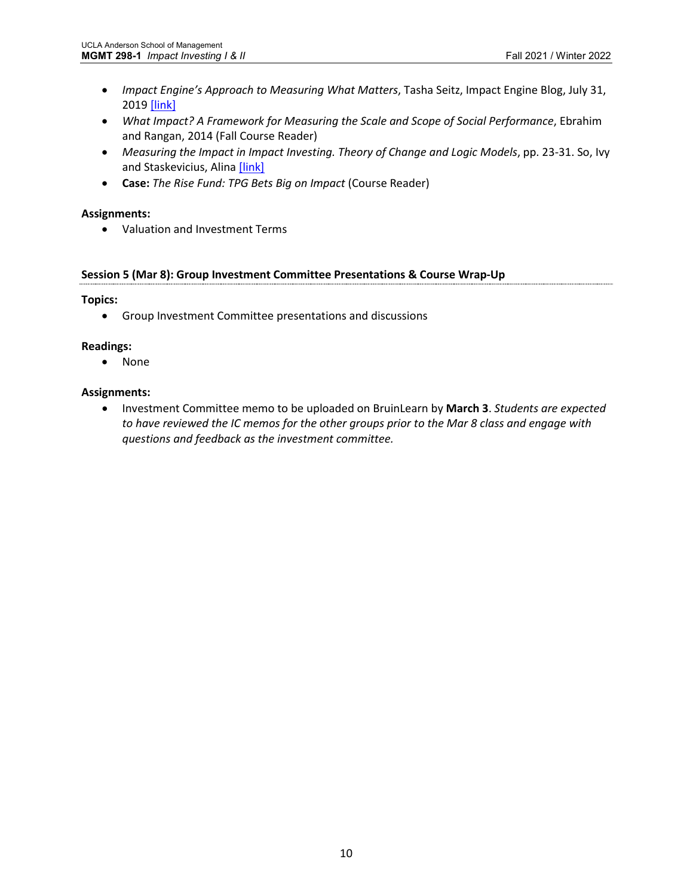- *Impact Engine's Approach to Measuring What Matters*, Tasha Seitz, Impact Engine Blog, July 31, 2019 [\[link\]](https://medium.com/@theimpactengine/impact-engines-approach-to-measuring-what-matters-13e9f4946331)
- *What Impact? A Framework for Measuring the Scale and Scope of Social Performance*, Ebrahim and Rangan, 2014 (Fall Course Reader)
- Measuring the Impact in Impact Investing. Theory of Change and Logic Models, pp. 23-31. So, Ivy and Staskevicius, Alina [\[link\]](https://www.hbs.edu/socialenterprise/Documents/MeasuringImpact.pdf)
- **Case:** *The Rise Fund: TPG Bets Big on Impact* (Course Reader)

• Valuation and Investment Terms

## **Session 5 (Mar 8): Group Investment Committee Presentations & Course Wrap-Up**

## **Topics:**

• Group Investment Committee presentations and discussions

## **Readings:**

• None

## **Assignments:**

• Investment Committee memo to be uploaded on BruinLearn by **March 3**. *Students are expected to have reviewed the IC memos for the other groups prior to the Mar 8 class and engage with questions and feedback as the investment committee.*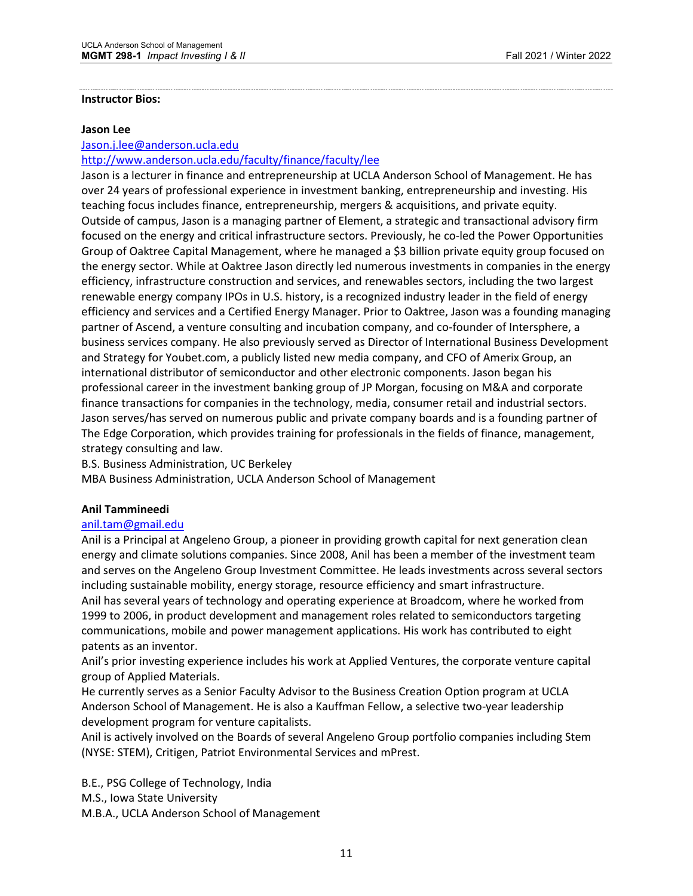#### **Instructor Bios:**

#### **Jason Lee**

[Jason.j.lee@anderson.ucla.edu](mailto:Jason.j.lee@anderson.ucla.edu)

<http://www.anderson.ucla.edu/faculty/finance/faculty/lee>

Jason is a lecturer in finance and entrepreneurship at UCLA Anderson School of Management. He has over 24 years of professional experience in investment banking, entrepreneurship and investing. His teaching focus includes finance, entrepreneurship, mergers & acquisitions, and private equity. Outside of campus, Jason is a managing partner of Element, a strategic and transactional advisory firm focused on the energy and critical infrastructure sectors. Previously, he co-led the Power Opportunities Group of Oaktree Capital Management, where he managed a \$3 billion private equity group focused on the energy sector. While at Oaktree Jason directly led numerous investments in companies in the energy efficiency, infrastructure construction and services, and renewables sectors, including the two largest renewable energy company IPOs in U.S. history, is a recognized industry leader in the field of energy efficiency and services and a Certified Energy Manager. Prior to Oaktree, Jason was a founding managing partner of Ascend, a venture consulting and incubation company, and co-founder of Intersphere, a business services company. He also previously served as Director of International Business Development and Strategy for Youbet.com, a publicly listed new media company, and CFO of Amerix Group, an international distributor of semiconductor and other electronic components. Jason began his professional career in the investment banking group of JP Morgan, focusing on M&A and corporate finance transactions for companies in the technology, media, consumer retail and industrial sectors. Jason serves/has served on numerous public and private company boards and is a founding partner of The Edge Corporation, which provides training for professionals in the fields of finance, management, strategy consulting and law.

B.S. Business Administration, UC Berkeley

MBA Business Administration, UCLA Anderson School of Management

## **Anil Tammineedi**

#### [anil.tam@gmail.edu](mailto:anil.tam@gmail.edu)

Anil is a Principal at Angeleno Group, a pioneer in providing growth capital for next generation clean energy and climate solutions companies. Since 2008, Anil has been a member of the investment team and serves on the Angeleno Group Investment Committee. He leads investments across several sectors including sustainable mobility, energy storage, resource efficiency and smart infrastructure. Anil has several years of technology and operating experience at Broadcom, where he worked from 1999 to 2006, in product development and management roles related to semiconductors targeting communications, mobile and power management applications. His work has contributed to eight patents as an inventor.

Anil's prior investing experience includes his work at Applied Ventures, the corporate venture capital group of Applied Materials.

He currently serves as a Senior Faculty Advisor to the Business Creation Option program at UCLA Anderson School of Management. He is also a Kauffman Fellow, a selective two-year leadership development program for venture capitalists.

Anil is actively involved on the Boards of several Angeleno Group portfolio companies including Stem (NYSE: STEM), Critigen, Patriot Environmental Services and mPrest.

B.E., PSG College of Technology, India M.S., Iowa State University M.B.A., UCLA Anderson School of Management